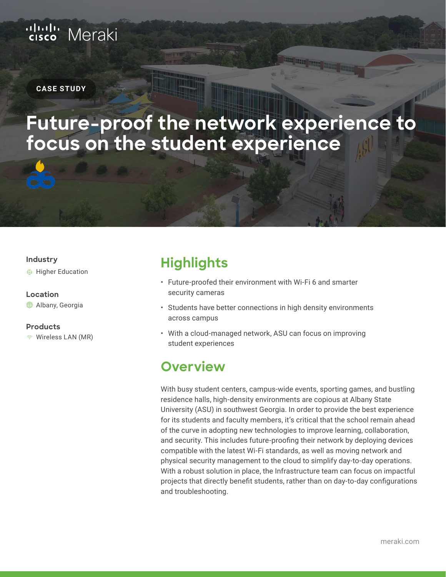# ululu Meraki

#### **CASE STUDY**

# **Future-proof the network experience to focus on the student experience**

#### **Industry**

Higher Education

#### **Location**

**♦ Albany, Georgia** 

#### **Products**

Wireless LAN (MR)

## **Highlights**

- Future-proofed their environment with Wi-Fi 6 and smarter security cameras
- Students have better connections in high density environments across campus
- With a cloud-managed network, ASU can focus on improving student experiences

### **Overview**

With busy student centers, campus-wide events, sporting games, and bustling residence halls, high-density environments are copious at Albany State University (ASU) in southwest Georgia. In order to provide the best experience for its students and faculty members, it's critical that the school remain ahead of the curve in adopting new technologies to improve learning, collaboration, and security. This includes future-proofing their network by deploying devices compatible with the latest Wi-Fi standards, as well as moving network and physical security management to the cloud to simplify day-to-day operations. With a robust solution in place, the Infrastructure team can focus on impactful projects that directly benefit students, rather than on day-to-day configurations and troubleshooting.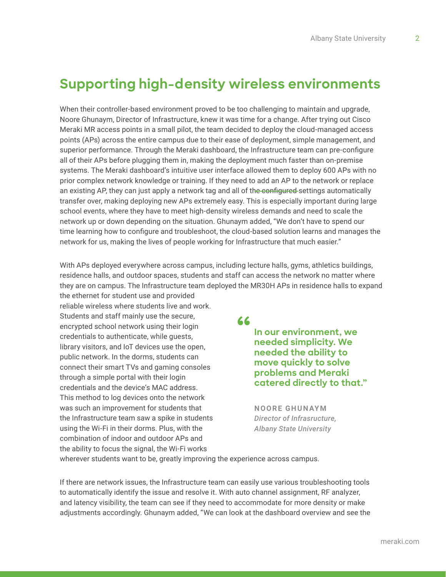## **Supporting high-density wireless environments**

When their controller-based environment proved to be too challenging to maintain and upgrade, Noore Ghunaym, Director of Infrastructure, knew it was time for a change. After trying out Cisco Meraki MR access points in a small pilot, the team decided to deploy the cloud-managed access points (APs) across the entire campus due to their ease of deployment, simple management, and superior performance. Through the Meraki dashboard, the Infrastructure team can pre-configure all of their APs before plugging them in, making the deployment much faster than on-premise systems. The Meraki dashboard's intuitive user interface allowed them to deploy 600 APs with no prior complex network knowledge or training. If they need to add an AP to the network or replace an existing AP, they can just apply a network tag and all of the configured settings automatically transfer over, making deploying new APs extremely easy. This is especially important during large school events, where they have to meet high-density wireless demands and need to scale the network up or down depending on the situation. Ghunaym added, "We don't have to spend our time learning how to configure and troubleshoot, the cloud-based solution learns and manages the network for us, making the lives of people working for Infrastructure that much easier."

With APs deployed everywhere across campus, including lecture halls, gyms, athletics buildings, residence halls, and outdoor spaces, students and staff can access the network no matter where they are on campus. The Infrastructure team deployed the MR30H APs in residence halls to expand the ethernet for student use and provided

reliable wireless where students live and work. Students and staff mainly use the secure, encrypted school network using their login credentials to authenticate, while guests, library visitors, and IoT devices use the open, public network. In the dorms, students can connect their smart TVs and gaming consoles through a simple portal with their login credentials and the device's MAC address. This method to log devices onto the network was such an improvement for students that the Infrastructure team saw a spike in students using the Wi-Fi in their dorms. Plus, with the combination of indoor and outdoor APs and the ability to focus the signal, the Wi-Fi works

**"**

**In our environment, we needed simplicity. We needed the ability to move quickly to solve problems and Meraki catered directly to that."**

**NOORE GHUNAYM** *Director of Infrasructure, Albany State University*

wherever students want to be, greatly improving the experience across campus.

If there are network issues, the Infrastructure team can easily use various troubleshooting tools to automatically identify the issue and resolve it. With auto channel assignment, RF analyzer, and latency visibility, the team can see if they need to accommodate for more density or make adjustments accordingly. Ghunaym added, "We can look at the dashboard overview and see the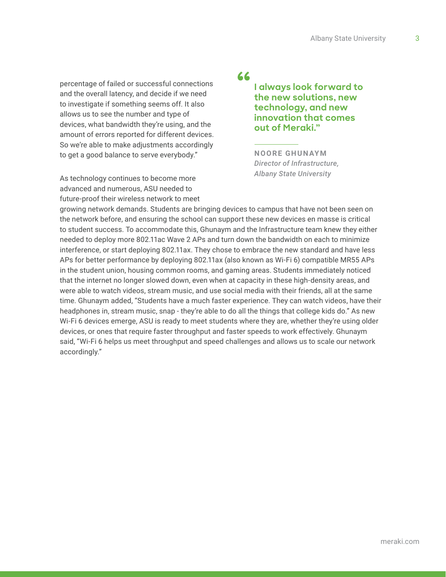percentage of failed or successful connections and the overall latency, and decide if we need to investigate if something seems off. It also allows us to see the number and type of devices, what bandwidth they're using, and the amount of errors reported for different devices. So we're able to make adjustments accordingly to get a good balance to serve everybody."

As technology continues to become more advanced and numerous, ASU needed to future-proof their wireless network to meet

### **"**

**I always look forward to the new solutions, new technology, and new innovation that comes out of Meraki."**

**NOORE GHUNAYM** *Director of Infrastructure, Albany State University*

growing network demands. Students are bringing devices to campus that have not been seen on the network before, and ensuring the school can support these new devices en masse is critical to student success. To accommodate this, Ghunaym and the Infrastructure team knew they either needed to deploy more 802.11ac Wave 2 APs and turn down the bandwidth on each to minimize interference, or start deploying 802.11ax. They chose to embrace the new standard and have less APs for better performance by deploying 802.11ax (also known as Wi-Fi 6) compatible MR55 APs in the student union, housing common rooms, and gaming areas. Students immediately noticed that the internet no longer slowed down, even when at capacity in these high-density areas, and were able to watch videos, stream music, and use social media with their friends, all at the same time. Ghunaym added, "Students have a much faster experience. They can watch videos, have their headphones in, stream music, snap - they're able to do all the things that college kids do." As new Wi-Fi 6 devices emerge, ASU is ready to meet students where they are, whether they're using older devices, or ones that require faster throughput and faster speeds to work effectively. Ghunaym said, "Wi-Fi 6 helps us meet throughput and speed challenges and allows us to scale our network accordingly."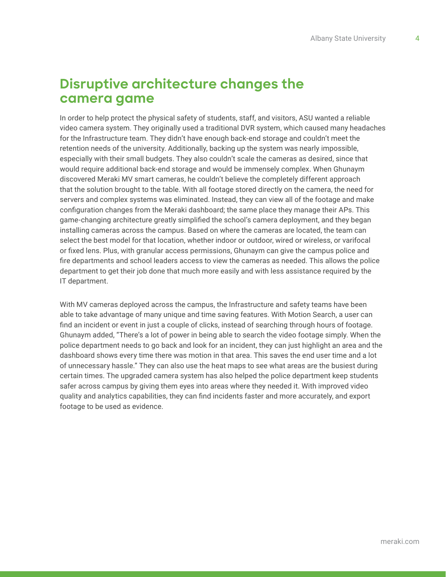## **Disruptive architecture changes the camera game**

In order to help protect the physical safety of students, staff, and visitors, ASU wanted a reliable video camera system. They originally used a traditional DVR system, which caused many headaches for the Infrastructure team. They didn't have enough back-end storage and couldn't meet the retention needs of the university. Additionally, backing up the system was nearly impossible, especially with their small budgets. They also couldn't scale the cameras as desired, since that would require additional back-end storage and would be immensely complex. When Ghunaym discovered Meraki MV smart cameras, he couldn't believe the completely different approach that the solution brought to the table. With all footage stored directly on the camera, the need for servers and complex systems was eliminated. Instead, they can view all of the footage and make configuration changes from the Meraki dashboard; the same place they manage their APs. This game-changing architecture greatly simplified the school's camera deployment, and they began installing cameras across the campus. Based on where the cameras are located, the team can select the best model for that location, whether indoor or outdoor, wired or wireless, or varifocal or fixed lens. Plus, with granular access permissions, Ghunaym can give the campus police and fire departments and school leaders access to view the cameras as needed. This allows the police department to get their job done that much more easily and with less assistance required by the IT department.

With MV cameras deployed across the campus, the Infrastructure and safety teams have been able to take advantage of many unique and time saving features. With Motion Search, a user can find an incident or event in just a couple of clicks, instead of searching through hours of footage. Ghunaym added, "There's a lot of power in being able to search the video footage simply. When the police department needs to go back and look for an incident, they can just highlight an area and the dashboard shows every time there was motion in that area. This saves the end user time and a lot of unnecessary hassle." They can also use the heat maps to see what areas are the busiest during certain times. The upgraded camera system has also helped the police department keep students safer across campus by giving them eyes into areas where they needed it. With improved video quality and analytics capabilities, they can find incidents faster and more accurately, and export footage to be used as evidence.